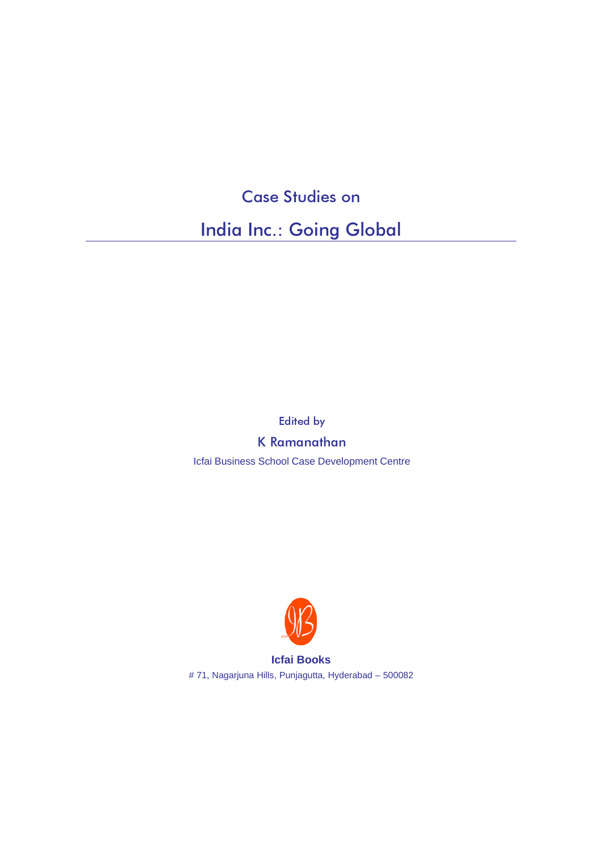## Case Studies on

India Inc.: Going Global

Edited by

K Ramanathan

Icfai Business School Case Development Centre



**Icfai Books** # 71, Nagarjuna Hills, Punjagutta, Hyderabad – 500082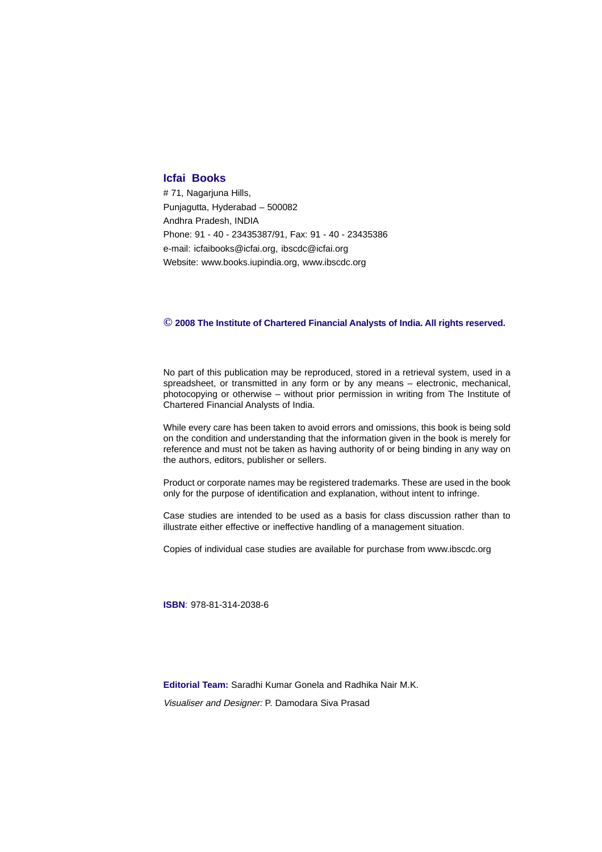## **Icfai Books**

# 71, Nagarjuna Hills, Punjagutta, Hyderabad – 500082 Andhra Pradesh, INDIA Phone: 91 - 40 - 23435387/91, Fax: 91 - 40 - 23435386 e-mail: icfaibooks@icfai.org, ibscdc@icfai.org Website: www.books.iupindia.org, www.ibscdc.org

## **© 2008 The Institute of Chartered Financial Analysts of India. All rights reserved.**

No part of this publication may be reproduced, stored in a retrieval system, used in a spreadsheet, or transmitted in any form or by any means – electronic, mechanical, photocopying or otherwise – without prior permission in writing from The Institute of Chartered Financial Analysts of India.

While every care has been taken to avoid errors and omissions, this book is being sold on the condition and understanding that the information given in the book is merely for reference and must not be taken as having authority of or being binding in any way on the authors, editors, publisher or sellers.

Product or corporate names may be registered trademarks. These are used in the book only for the purpose of identification and explanation, without intent to infringe.

Case studies are intended to be used as a basis for class discussion rather than to illustrate either effective or ineffective handling of a management situation.

Copies of individual case studies are available for purchase from www.ibscdc.org

**ISBN**: 978-81-314-2038-6

**Editorial Team:** Saradhi Kumar Gonela and Radhika Nair M.K.

Visualiser and Designer: P. Damodara Siva Prasad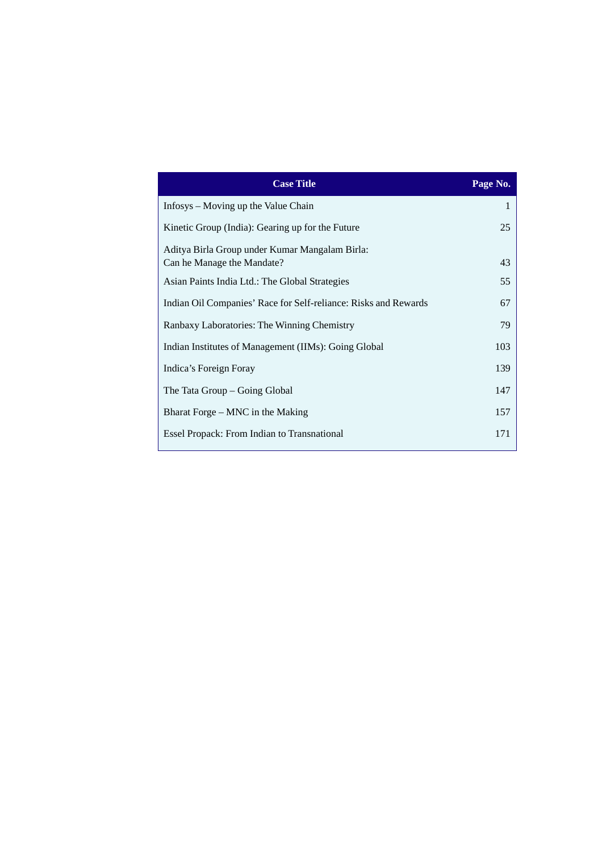| <b>Case Title</b>                                               | Page No. |
|-----------------------------------------------------------------|----------|
| Infosys – Moving up the Value Chain                             | 1        |
| Kinetic Group (India): Gearing up for the Future                | 25       |
| Aditya Birla Group under Kumar Mangalam Birla:                  |          |
| Can he Manage the Mandate?                                      | 43       |
| Asian Paints India Ltd.: The Global Strategies                  | 55       |
| Indian Oil Companies' Race for Self-reliance: Risks and Rewards | 67       |
| Ranbaxy Laboratories: The Winning Chemistry                     | 79       |
| Indian Institutes of Management (IIMs): Going Global            | 103      |
| Indica's Foreign Foray                                          | 139      |
| The Tata Group – Going Global                                   | 147      |
| Bharat Forge – MNC in the Making                                | 157      |
| Essel Propack: From Indian to Transnational                     | 171      |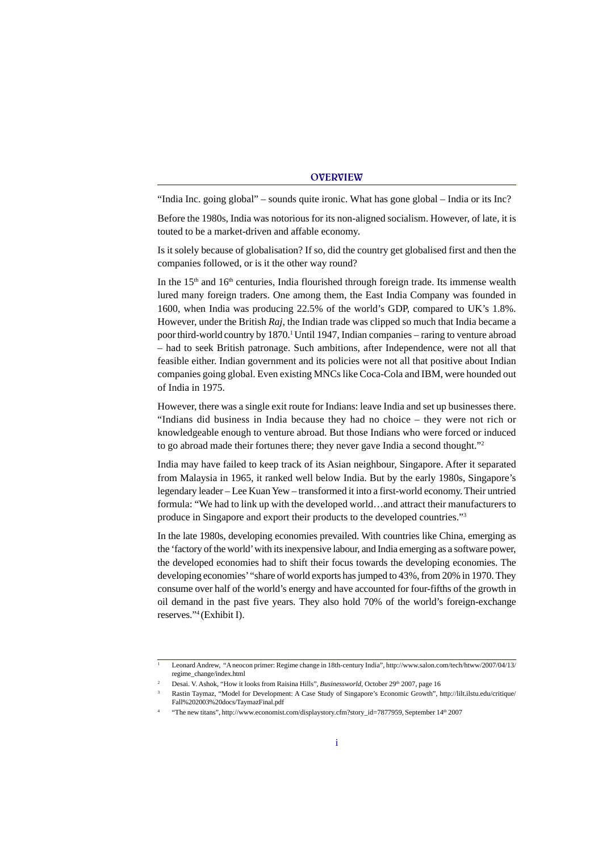## **OVERVIEW**

"India Inc. going global" – sounds quite ironic. What has gone global – India or its Inc?

Before the 1980s, India was notorious for its non-aligned socialism. However, of late, it is touted to be a market-driven and affable economy.

Is it solely because of globalisation? If so, did the country get globalised first and then the companies followed, or is it the other way round?

In the  $15<sup>th</sup>$  and  $16<sup>th</sup>$  centuries, India flourished through foreign trade. Its immense wealth lured many foreign traders. One among them, the East India Company was founded in 1600, when India was producing 22.5% of the world's GDP, compared to UK's 1.8%. However, under the British *Raj*, the Indian trade was clipped so much that India became a poor third-world country by 1870.<sup>1</sup> Until 1947, Indian companies – raring to venture abroad – had to seek British patronage. Such ambitions, after Independence, were not all that feasible either. Indian government and its policies were not all that positive about Indian companies going global. Even existing MNCs like Coca-Cola and IBM, were hounded out of India in 1975.

However, there was a single exit route for Indians: leave India and set up businesses there. "Indians did business in India because they had no choice – they were not rich or knowledgeable enough to venture abroad. But those Indians who were forced or induced to go abroad made their fortunes there; they never gave India a second thought."2

India may have failed to keep track of its Asian neighbour, Singapore. After it separated from Malaysia in 1965, it ranked well below India. But by the early 1980s, Singapore's legendary leader – Lee Kuan Yew – transformed it into a first-world economy. Their untried formula: "We had to link up with the developed world…and attract their manufacturers to produce in Singapore and export their products to the developed countries."3

In the late 1980s, developing economies prevailed. With countries like China, emerging as the 'factory of the world' with its inexpensive labour, and India emerging as a software power, the developed economies had to shift their focus towards the developing economies. The developing economies' "share of world exports has jumped to 43%, from 20% in 1970. They consume over half of the world's energy and have accounted for four-fifths of the growth in oil demand in the past five years. They also hold 70% of the world's foreign-exchange reserves."4 (Exhibit I).

<sup>1</sup> Leonard Andrew, "A neocon primer: Regime change in 18th-century India", http://www.salon.com/tech/htww/2007/04/13/ regime\_change/index.html

Desai. V. Ashok, "How it looks from Raisina Hills", *Businessworld*, October 29<sup>th</sup> 2007, page 16

<sup>3</sup> Rastin Taymaz, "Model for Development: A Case Study of Singapore's Economic Growth", http://lilt.ilstu.edu/critique/ Fall%202003%20docs/TaymazFinal.pdf

<sup>4</sup> "The new titans", http://www.economist.com/displaystory.cfm?story\_id=7877959, September 14th 2007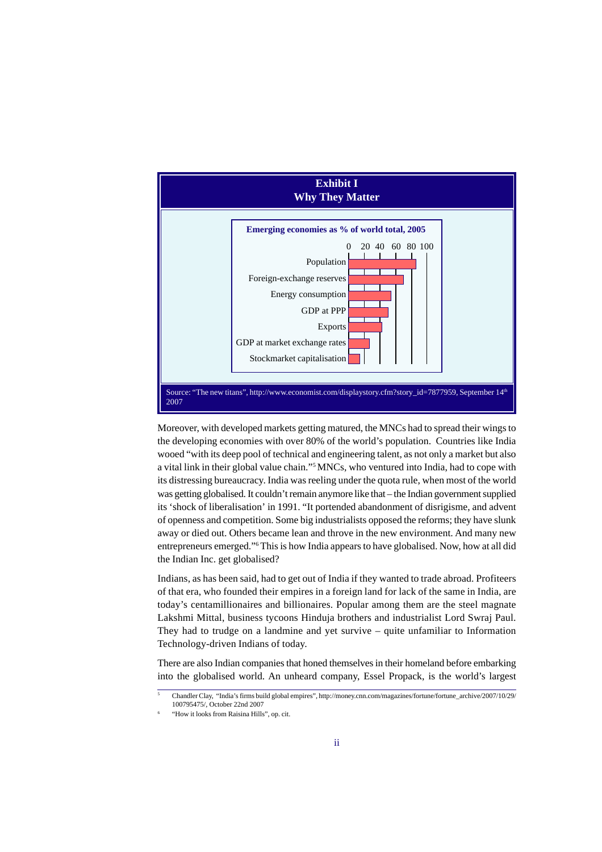

Moreover, with developed markets getting matured, the MNCs had to spread their wings to the developing economies with over 80% of the world's population. Countries like India wooed "with its deep pool of technical and engineering talent, as not only a market but also a vital link in their global value chain."5MNCs, who ventured into India, had to cope with its distressing bureaucracy. India was reeling under the quota rule, when most of the world was getting globalised. It couldn't remain anymore like that – the Indian government supplied its 'shock of liberalisation' in 1991. "It portended abandonment of disrigisme, and advent of openness and competition. Some big industrialists opposed the reforms; they have slunk away or died out. Others became lean and throve in the new environment. And many new entrepreneurs emerged."6 This is how India appears to have globalised. Now, how at all did the Indian Inc. get globalised?

Indians, as has been said, had to get out of India if they wanted to trade abroad. Profiteers of that era, who founded their empires in a foreign land for lack of the same in India, are today's centamillionaires and billionaires. Popular among them are the steel magnate Lakshmi Mittal, business tycoons Hinduja brothers and industrialist Lord Swraj Paul. They had to trudge on a landmine and yet survive – quite unfamiliar to Information Technology-driven Indians of today.

There are also Indian companies that honed themselves in their homeland before embarking into the globalised world. An unheard company, Essel Propack, is the world's largest

<sup>5</sup> Chandler Clay, "India's firms build global empires", http://money.cnn.com/magazines/fortune/fortune\_archive/2007/10/29/ 100795475/, October 22nd 2007

<sup>6</sup> "How it looks from Raisina Hills", op. cit.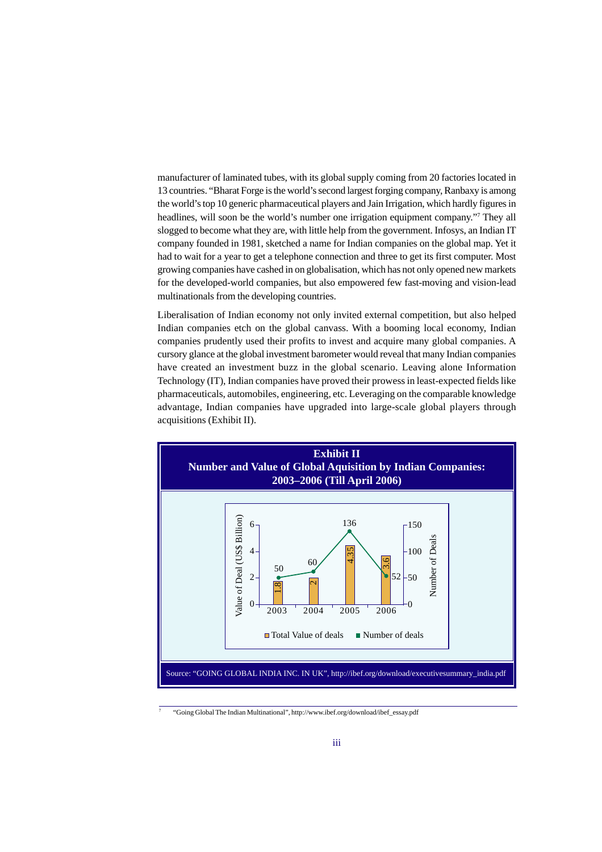manufacturer of laminated tubes, with its global supply coming from 20 factories located in 13 countries. "Bharat Forge is the world's second largest forging company, Ranbaxy is among the world's top 10 generic pharmaceutical players and Jain Irrigation, which hardly figures in headlines, will soon be the world's number one irrigation equipment company."<sup>7</sup> They all slogged to become what they are, with little help from the government. Infosys, an Indian IT company founded in 1981, sketched a name for Indian companies on the global map. Yet it had to wait for a year to get a telephone connection and three to get its first computer. Most growing companies have cashed in on globalisation, which has not only opened new markets for the developed-world companies, but also empowered few fast-moving and vision-lead multinationals from the developing countries.

Liberalisation of Indian economy not only invited external competition, but also helped Indian companies etch on the global canvass. With a booming local economy, Indian companies prudently used their profits to invest and acquire many global companies. A cursory glance at the global investment barometer would reveal that many Indian companies have created an investment buzz in the global scenario. Leaving alone Information Technology (IT), Indian companies have proved their prowess in least-expected fields like pharmaceuticals, automobiles, engineering, etc. Leveraging on the comparable knowledge advantage, Indian companies have upgraded into large-scale global players through acquisitions (Exhibit II).



<sup>7</sup> "Going Global The Indian Multinational", http://www.ibef.org/download/ibef\_essay.pdf